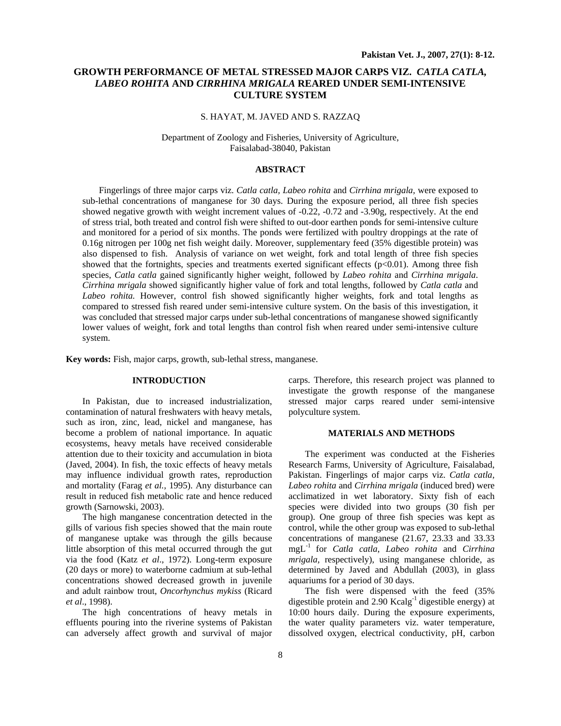# **GROWTH PERFORMANCE OF METAL STRESSED MAJOR CARPS VIZ.** *CATLA CATLA, LABEO ROHITA* **AND** *CIRRHINA MRIGALA* **REARED UNDER SEMI-INTENSIVE CULTURE SYSTEM**

# S. HAYAT, M. JAVED AND S. RAZZAQ

#### Department of Zoology and Fisheries, University of Agriculture, Faisalabad-38040, Pakistan

#### **ABSTRACT**

Fingerlings of three major carps viz. *Catla catla, Labeo rohita* and *Cirrhina mrigala,* were exposed to sub-lethal concentrations of manganese for 30 days. During the exposure period, all three fish species showed negative growth with weight increment values of -0.22, -0.72 and -3.90g, respectively. At the end of stress trial, both treated and control fish were shifted to out-door earthen ponds for semi-intensive culture and monitored for a period of six months. The ponds were fertilized with poultry droppings at the rate of 0.16g nitrogen per 100g net fish weight daily. Moreover, supplementary feed (35% digestible protein) was also dispensed to fish. Analysis of variance on wet weight, fork and total length of three fish species showed that the fortnights, species and treatments exerted significant effects  $(p<0.01)$ . Among three fish species, *Catla catla* gained significantly higher weight, followed by *Labeo rohita* and *Cirrhina mrigala*. *Cirrhina mrigala* showed significantly higher value of fork and total lengths, followed by *Catla catla* and *Labeo rohita.* However, control fish showed significantly higher weights, fork and total lengths as compared to stressed fish reared under semi-intensive culture system. On the basis of this investigation, it was concluded that stressed major carps under sub-lethal concentrations of manganese showed significantly lower values of weight, fork and total lengths than control fish when reared under semi-intensive culture system.

**Key words:** Fish, major carps, growth, sub-lethal stress, manganese.

# **INTRODUCTION**

In Pakistan, due to increased industrialization, contamination of natural freshwaters with heavy metals, such as iron, zinc, lead, nickel and manganese, has become a problem of national importance. In aquatic ecosystems, heavy metals have received considerable attention due to their toxicity and accumulation in biota (Javed, 2004). In fish, the toxic effects of heavy metals may influence individual growth rates, reproduction and mortality (Farag *et al.,* 1995). Any disturbance can result in reduced fish metabolic rate and hence reduced growth (Sarnowski, 2003).

The high manganese concentration detected in the gills of various fish species showed that the main route of manganese uptake was through the gills because little absorption of this metal occurred through the gut via the food (Katz *et al*., 1972). Long-term exposure (20 days or more) to waterborne cadmium at sub-lethal concentrations showed decreased growth in juvenile and adult rainbow trout, *Oncorhynchus mykiss* (Ricard *et al*., 1998).

The high concentrations of heavy metals in effluents pouring into the riverine systems of Pakistan can adversely affect growth and survival of major

carps. Therefore, this research project was planned to investigate the growth response of the manganese stressed major carps reared under semi-intensive polyculture system.

#### **MATERIALS AND METHODS**

The experiment was conducted at the Fisheries Research Farms, University of Agriculture, Faisalabad, Pakistan. Fingerlings of major carps viz. *Catla catla, Labeo rohita* and *Cirrhina mrigala* (induced bred) were acclimatized in wet laboratory. Sixty fish of each species were divided into two groups (30 fish per group). One group of three fish species was kept as control, while the other group was exposed to sub-lethal concentrations of manganese (21.67, 23.33 and 33.33 mgL-1 for *Catla catla*, *Labeo rohita* and *Cirrhina mrigala,* respectively), using manganese chloride, as determined by Javed and Abdullah (2003), in glass aquariums for a period of 30 days.

The fish were dispensed with the feed (35% digestible protein and  $2.90$  Kcalg<sup>-1</sup> digestible energy) at 10:00 hours daily. During the exposure experiments, the water quality parameters viz. water temperature, dissolved oxygen, electrical conductivity, pH, carbon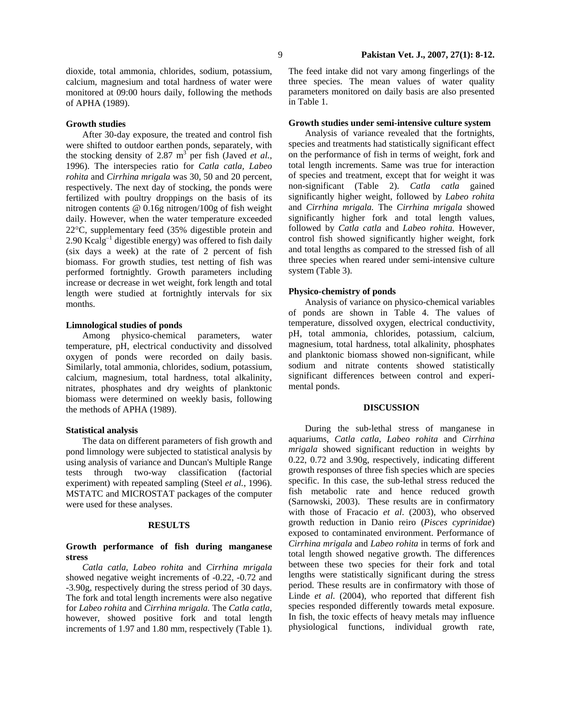### **Growth studies**

After 30-day exposure, the treated and control fish were shifted to outdoor earthen ponds, separately, with the stocking density of 2.87  $m^3$  per fish (Javed *et al.*, 1996). The interspecies ratio for *Catla catla, Labeo rohita* and *Cirrhina mrigala* was 30, 50 and 20 percent, respectively. The next day of stocking, the ponds were fertilized with poultry droppings on the basis of its nitrogen contents @ 0.16g nitrogen/100g of fish weight daily. However, when the water temperature exceeded 22°C, supplementary feed (35% digestible protein and  $2.90$  Kcalg<sup>-1</sup> digestible energy) was offered to fish daily (six days a week) at the rate of 2 percent of fish biomass. For growth studies, test netting of fish was performed fortnightly. Growth parameters including increase or decrease in wet weight, fork length and total length were studied at fortnightly intervals for six months.

#### **Limnological studies of ponds**

Among physico-chemical parameters, water temperature, pH, electrical conductivity and dissolved oxygen of ponds were recorded on daily basis. Similarly, total ammonia, chlorides, sodium, potassium, calcium, magnesium, total hardness, total alkalinity, nitrates, phosphates and dry weights of planktonic biomass were determined on weekly basis, following the methods of APHA (1989).

### **Statistical analysis**

The data on different parameters of fish growth and pond limnology were subjected to statistical analysis by using analysis of variance and Duncan's Multiple Range tests through two-way classification (factorial experiment) with repeated sampling (Steel *et al.*, 1996). MSTATC and MICROSTAT packages of the computer were used for these analyses.

#### **RESULTS**

## **Growth performance of fish during manganese stress**

*Catla catla, Labeo rohita* and *Cirrhina mrigala*  showed negative weight increments of -0.22, -0.72 and -3.90g, respectively during the stress period of 30 days. The fork and total length increments were also negative for *Labeo rohita* and *Cirrhina mrigala.* The *Catla catla,* however, showed positive fork and total length increments of 1.97 and 1.80 mm, respectively (Table 1).

The feed intake did not vary among fingerlings of the three species. The mean values of water quality parameters monitored on daily basis are also presented in Table 1.

#### **Growth studies under semi-intensive culture system**

Analysis of variance revealed that the fortnights, species and treatments had statistically significant effect on the performance of fish in terms of weight, fork and total length increments. Same was true for interaction of species and treatment, except that for weight it was non-significant (Table 2). *Catla catla* gained significantly higher weight, followed by *Labeo rohita* and *Cirrhina mrigala.* The *Cirrhina mrigala* showed significantly higher fork and total length values, followed by *Catla catla* and *Labeo rohita.* However, control fish showed significantly higher weight, fork and total lengths as compared to the stressed fish of all three species when reared under semi-intensive culture system (Table 3).

# **Physico-chemistry of ponds**

Analysis of variance on physico-chemical variables of ponds are shown in Table 4. The values of temperature, dissolved oxygen, electrical conductivity, pH, total ammonia, chlorides, potassium, calcium, magnesium, total hardness, total alkalinity, phosphates and planktonic biomass showed non-significant, while sodium and nitrate contents showed statistically significant differences between control and experimental ponds.

# **DISCUSSION**

During the sub-lethal stress of manganese in aquariums, *Catla catla*, *Labeo rohita* and *Cirrhina mrigala* showed significant reduction in weights by 0.22, 0.72 and 3.90g, respectively, indicating different growth responses of three fish species which are species specific. In this case, the sub-lethal stress reduced the fish metabolic rate and hence reduced growth (Sarnowski, 2003). These results are in confirmatory with those of Fracacio *et al*. (2003), who observed growth reduction in Danio reiro (*Pisces cyprinidae*) exposed to contaminated environment. Performance of *Cirrhina mrigala* and *Labeo rohita* in terms of fork and total length showed negative growth. The differences between these two species for their fork and total lengths were statistically significant during the stress period. These results are in confirmatory with those of Linde *et al*. (2004), who reported that different fish species responded differently towards metal exposure. In fish, the toxic effects of heavy metals may influence physiological functions, individual growth rate,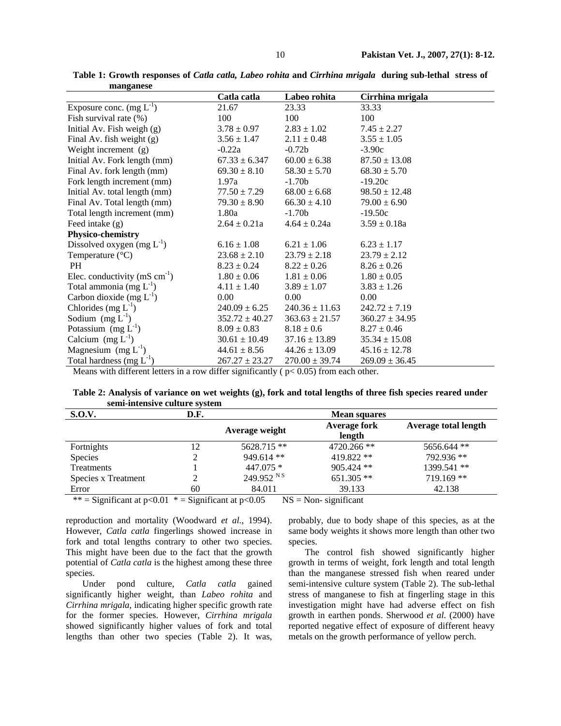|                                             | Catla catla        | Labeo rohita       | Cirrhina mrigala   |
|---------------------------------------------|--------------------|--------------------|--------------------|
| Exposure conc. $(mg L^{-1})$                | 21.67              | 23.33              | 33.33              |
| Fish survival rate (%)                      | 100                | 100                | 100                |
| Initial Av. Fish weigh $(g)$                | $3.78 \pm 0.97$    | $2.83 \pm 1.02$    | $7.45 \pm 2.27$    |
| Final Av. fish weight (g)                   | $3.56 \pm 1.47$    | $2.11 \pm 0.48$    | $3.55 \pm 1.05$    |
| Weight increment (g)                        | $-0.22a$           | $-0.72b$           | $-3.90c$           |
| Initial Av. Fork length (mm)                | $67.33 \pm 6.347$  | $60.00 \pm 6.38$   | $87.50 \pm 13.08$  |
| Final Av. fork length (mm)                  | $69.30 \pm 8.10$   | $58.30 \pm 5.70$   | $68.30 \pm 5.70$   |
| Fork length increment (mm)                  | 1.97a              | $-1.70b$           | $-19.20c$          |
| Initial Av. total length (mm)               | $77.50 \pm 7.29$   | $68.00 \pm 6.68$   | $98.50 \pm 12.48$  |
| Final Av. Total length (mm)                 | $79.30 \pm 8.90$   | $66.30 \pm 4.10$   | $79.00 \pm 6.90$   |
| Total length increment (mm)                 | 1.80a              | $-1.70b$           | $-19.50c$          |
| Feed intake (g)                             | $2.64 \pm 0.21a$   | $4.64 \pm 0.24a$   | $3.59 \pm 0.18a$   |
| Physico-chemistry                           |                    |                    |                    |
| Dissolved oxygen $(mg L^{-1})$              | $6.16 \pm 1.08$    | $6.21 \pm 1.06$    | $6.23 \pm 1.17$    |
| Temperature $(^{\circ}C)$                   | $23.68 \pm 2.10$   | $23.79 \pm 2.18$   | $23.79 \pm 2.12$   |
| <b>PH</b>                                   | $8.23 \pm 0.24$    | $8.22 \pm 0.26$    | $8.26 \pm 0.26$    |
| Elec. conductivity ( $mS \text{ cm}^{-1}$ ) | $1.80 \pm 0.06$    | $1.81 \pm 0.06$    | $1.80 \pm 0.05$    |
| Total ammonia (mg $L^{-1}$ )                | $4.11 \pm 1.40$    | $3.89 \pm 1.07$    | $3.83 \pm 1.26$    |
| Carbon dioxide (mg $L^{-1}$ )               | 0.00               | 0.00               | 0.00               |
| Chlorides $(mg L^{-1})$                     | $240.09 \pm 6.25$  | $240.36 \pm 11.63$ | $242.72 \pm 7.19$  |
| Sodium $(mg L^{-1})$                        | $352.72 \pm 40.27$ | $363.63 \pm 21.57$ | $360.27 \pm 34.95$ |
| Potassium $(mg L^{-1})$                     | $8.09 \pm 0.83$    | $8.18 \pm 0.6$     | $8.27 \pm 0.46$    |
| Calcium $(mg L^{-1})$                       | $30.61 \pm 10.49$  | $37.16 \pm 13.89$  | $35.34 \pm 15.08$  |
| Magnesium $(mg L^{-1})$                     | $44.61 \pm 8.56$   | $44.26 \pm 13.09$  | $45.16 \pm 12.78$  |
| Total hardness $(mg L^{-1})$                | $267.27 \pm 23.27$ | $270.00 \pm 39.74$ | $269.09 \pm 36.45$ |

**Table 1: Growth responses of** *Catla catla, Labeo rohita* **and** *Cirrhina mrigala* **during sub-lethal stress of manganese** 

Means with different letters in a row differ significantly ( $p$ < 0.05) from each other.

**Table 2: Analysis of variance on wet weights (g), fork and total lengths of three fish species reared under semi-intensive culture system** 

| D.F.   | <b>Mean squares</b>              |                                                   |                                |  |
|--------|----------------------------------|---------------------------------------------------|--------------------------------|--|
|        | Average weight                   | Average fork<br>length                            | Average total length           |  |
| 12     | $5628.715**$                     | $4720.266$ **                                     | 5656.644 **                    |  |
| າ<br>∠ | $949.614$ **                     | 419.822 **                                        | 792.936 **                     |  |
|        | $447.075*$                       | $905.424$ **                                      | 1399.541 **                    |  |
|        |                                  | $651.305**$                                       | $719.169$ **                   |  |
| 60     | 84.011                           | 39.133                                            | 42.138                         |  |
|        | $\cdot$ $\sim$<br>0.04<br>$\sim$ | 249.952 N<br>$\sim$ $\sim$ $\sim$<br>$\mathbf{r}$ | $\cdot$ $\sim$<br>$\mathbf{v}$ |  |

\*\* = Significant at  $p<0.01$  \* = Significant at  $p<0.05$  NS = Non-significant

reproduction and mortality (Woodward *et al.,* 1994). However, *Catla catla* fingerlings showed increase in fork and total lengths contrary to other two species. This might have been due to the fact that the growth potential of *Catla catla* is the highest among these three species.

Under pond culture, *Catla catla* gained significantly higher weight, than *Labeo rohita* and *Cirrhina mrigala*, indicating higher specific growth rate for the former species. However, *Cirrhina mrigala* showed significantly higher values of fork and total lengths than other two species (Table 2). It was, probably, due to body shape of this species, as at the same body weights it shows more length than other two species.

The control fish showed significantly higher growth in terms of weight, fork length and total length than the manganese stressed fish when reared under semi-intensive culture system (Table 2). The sub-lethal stress of manganese to fish at fingerling stage in this investigation might have had adverse effect on fish growth in earthen ponds. Sherwood *et al*. (2000) have reported negative effect of exposure of different heavy metals on the growth performance of yellow perch.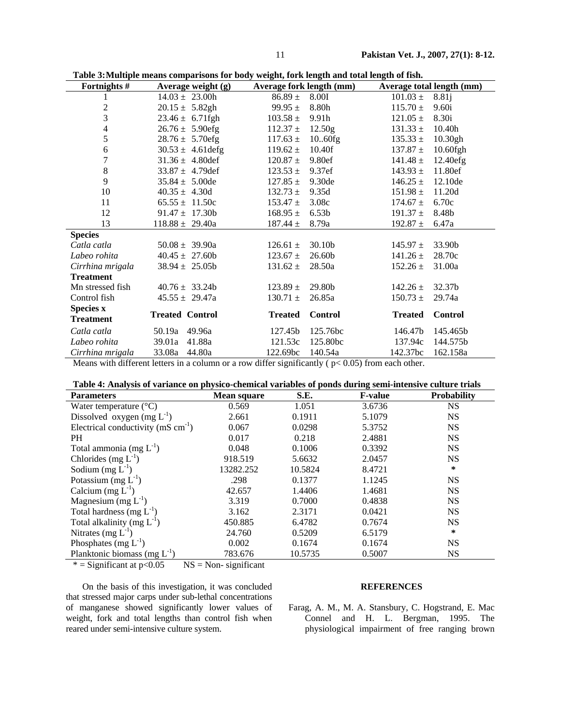| Fortnights #     | Average weight $(g)$   | Average fork length (mm) |                   |                | Average total length (mm) |
|------------------|------------------------|--------------------------|-------------------|----------------|---------------------------|
|                  | $14.03 \pm 23.00h$     | $86.89 \pm$              | <b>8.00I</b>      | $101.03 \pm$   | 8.81j                     |
| $\overline{c}$   | $20.15 \pm 5.82$ gh    | 99.95 $\pm$              | 8.80h             | $115.70 \pm$   | 9.60i                     |
| 3                | $23.46 \pm 6.71$ fgh   | $103.58 \pm$             | 9.91h             | $121.05 \pm$   | 8.30i                     |
| 4                | $26.76 \pm 5.90$ efg   | $112.37 \pm$             | 12.50g            | $131.33 \pm$   | 10.40h                    |
| 5                | $28.76 \pm 5.70$ efg   | $117.63 \pm$             | 10.60fg           | $135.33 \pm$   | 10.30gh                   |
| 6                | $30.53 \pm 4.61$ defg  | $119.62 \pm$             | 10.40f            | $137.87 \pm$   | $10.60$ fgh               |
| $\boldsymbol{7}$ | $31.36 \pm 4.80$ def   | $120.87 \pm$             | 9.80ef            | $141.48 \pm$   | 12.40efg                  |
| $\,8$            | $33.87 \pm 4.79$ def   | $123.53 \pm$             | 9.37ef            | $143.93 \pm$   | 11.80ef                   |
| 9                | $35.84 \pm 5.00$ de    | $127.85 \pm$             | 9.30de            | $146.25 \pm$   | 12.10de                   |
| 10               | $40.35 \pm 4.30d$      | $132.73 \pm$             | 9.35d             | $151.98 \pm$   | 11.20d                    |
| 11               | $65.55 \pm 11.50c$     | $153.47 \pm$             | 3.08c             | $174.67 \pm$   | 6.70c                     |
| 12               | $91.47 \pm 17.30b$     | $168.95 \pm$             | 6.53 <sub>b</sub> | $191.37 \pm$   | 8.48b                     |
| 13               | $118.88 \pm 29.40a$    | $187.44 \pm$             | 8.79a             | 192.87 $\pm$   | 6.47a                     |
| <b>Species</b>   |                        |                          |                   |                |                           |
| Catla catla      | $50.08 \pm 39.90a$     | $126.61 \pm$             | 30.10b            | $145.97 \pm$   | 33.90b                    |
| Labeo rohita     | $40.45 \pm 27.60b$     | $123.67 \pm$             | 26.60b            | $141.26 \pm$   | 28.70c                    |
| Cirrhina mrigala | $38.94 \pm 25.05b$     | $131.62 \pm$             | 28.50a            | $152.26 \pm$   | 31.00a                    |
| <b>Treatment</b> |                        |                          |                   |                |                           |
| Mn stressed fish | $40.76 \pm 33.24b$     | $123.89 \pm$             | 29.80b            | $142.26 \pm$   | 32.37b                    |
| Control fish     | $45.55 \pm 29.47a$     | $130.71 \pm$             | 26.85a            | $150.73 \pm$   | 29.74a                    |
| <b>Species x</b> |                        |                          |                   |                |                           |
| <b>Treatment</b> | <b>Treated Control</b> | <b>Treated</b>           | <b>Control</b>    | <b>Treated</b> | <b>Control</b>            |
| Catla catla      | 50.19a 49.96a          | 127.45b                  | 125.76bc          | 146.47b        | 145.465b                  |
| Labeo rohita     | 39.01a<br>41.88a       | 121.53c                  | 125.80bc          | 137.94c        | 144.575b                  |
| Cirrhina mrigala | 33.08a<br>44.80a       | 122.69bc                 | 140.54a           | 142.37bc       | 162.158a                  |

**Table 3: Multiple means comparisons for body weight, fork length and total length of fish.** 

Means with different letters in a column or a row differ significantly ( $p < 0.05$ ) from each other.

|  | Table 4: Analysis of variance on physico-chemical variables of ponds during semi-intensive culture trials |
|--|-----------------------------------------------------------------------------------------------------------|
|  |                                                                                                           |

| <b>Parameters</b>                                | Mean square | S.E.    | <b>F-value</b> | <b>Probability</b> |
|--------------------------------------------------|-------------|---------|----------------|--------------------|
| Water temperature $(^{\circ}C)$                  | 0.569       | 1.051   | 3.6736         | NS.                |
| Dissolved oxygen (mg $L^{-1}$ )                  | 2.661       | 0.1911  | 5.1079         | <b>NS</b>          |
| Electrical conductivity ( $mS \text{ cm}^{-1}$ ) | 0.067       | 0.0298  | 5.3752         | <b>NS</b>          |
| PH.                                              | 0.017       | 0.218   | 2.4881         | <b>NS</b>          |
| Total ammonia (mg $L^{-1}$ )                     | 0.048       | 0.1006  | 0.3392         | <b>NS</b>          |
| Chlorides (mg $L^{-1}$ )                         | 918.519     | 5.6632  | 2.0457         | <b>NS</b>          |
| Sodium $(mg L^{-1})$                             | 13282.252   | 10.5824 | 8.4721         | ∗                  |
| Potassium (mg $L^{-1}$ )                         | .298        | 0.1377  | 1.1245         | <b>NS</b>          |
| Calcium $(mg L^{-1})$                            | 42.657      | 1.4406  | 1.4681         | <b>NS</b>          |
| Magnesium (mg $L^{-1}$ )                         | 3.319       | 0.7000  | 0.4838         | <b>NS</b>          |
| Total hardness (mg $L^{-1}$ )                    | 3.162       | 2.3171  | 0.0421         | <b>NS</b>          |
| Total alkalinity (mg $L^{-1}$ )                  | 450.885     | 6.4782  | 0.7674         | <b>NS</b>          |
| Nitrates $(mg L^{-1})$                           | 24.760      | 0.5209  | 6.5179         | $\ast$             |
| Phosphates (mg $L^{-1}$ )                        | 0.002       | 0.1674  | 0.1674         | <b>NS</b>          |
| Planktonic biomass (mg $L^{-1}$ )                | 783.676     | 10.5735 | 0.5007         | <b>NS</b>          |

 $*$  = Significant at p<0.05 NS = Non- significant

On the basis of this investigation, it was concluded that stressed major carps under sub-lethal concentrations of manganese showed significantly lower values of weight, fork and total lengths than control fish when reared under semi-intensive culture system.

# **REFERENCES**

Farag, A. M., M. A. Stansbury, C. Hogstrand, E. Mac Connel and H. L. Bergman, 1995. The physiological impairment of free ranging brown